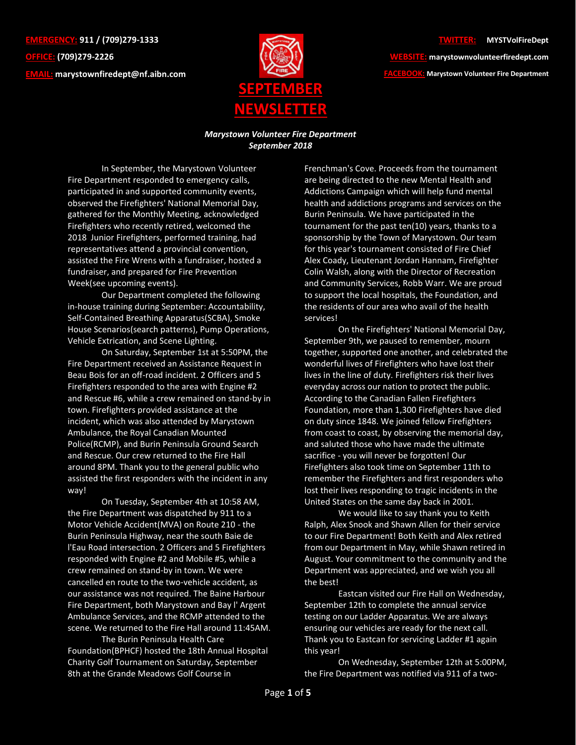**EMERGENCY: 911 / (709)279-1333 OFFICE: (709)279-2226 EMAIL: [marystownfiredept@nf.aibn.com](mailto:marystownfiredept@nf.aibn.com)**



## **TWITTER: @MYSTVolFireDept**

**WEBSITE: marystownvolunteerfiredept.com FACEBOOK: Marystown Volunteer Fire Department**

## *Marystown Volunteer Fire Department September 2018*

In September, the Marystown Volunteer Fire Department responded to emergency calls, participated in and supported community events, observed the Firefighters' National Memorial Day, gathered for the Monthly Meeting, acknowledged Firefighters who recently retired, welcomed the 2018 Junior Firefighters, performed training, had representatives attend a provincial convention, assisted the Fire Wrens with a fundraiser, hosted a fundraiser, and prepared for Fire Prevention Week(see upcoming events).

Our Department completed the following in-house training during September: Accountability, Self-Contained Breathing Apparatus(SCBA), Smoke House Scenarios(search patterns), Pump Operations, Vehicle Extrication, and Scene Lighting.

On Saturday, September 1st at 5:50PM, the Fire Department received an Assistance Request in Beau Bois for an off-road incident. 2 Officers and 5 Firefighters responded to the area with Engine #2 and Rescue #6, while a crew remained on stand-by in town. Firefighters provided assistance at the incident, which was also attended by Marystown Ambulance, the Royal Canadian Mounted Police(RCMP), and Burin Peninsula Ground Search and Rescue. Our crew returned to the Fire Hall around 8PM. Thank you to the general public who assisted the first responders with the incident in any way!

On Tuesday, September 4th at 10:58 AM, the Fire Department was dispatched by 911 to a Motor Vehicle Accident(MVA) on Route 210 - the Burin Peninsula Highway, near the south Baie de l'Eau Road intersection. 2 Officers and 5 Firefighters responded with Engine #2 and Mobile #5, while a crew remained on stand-by in town. We were cancelled en route to the two-vehicle accident, as our assistance was not required. The Baine Harbour Fire Department, both Marystown and Bay l' Argent Ambulance Services, and the RCMP attended to the scene. We returned to the Fire Hall around 11:45AM.

The Burin Peninsula Health Care Foundation(BPHCF) hosted the 18th Annual Hospital Charity Golf Tournament on Saturday, September 8th at the Grande Meadows Golf Course in

Frenchman's Cove. Proceeds from the tournament are being directed to the new Mental Health and Addictions Campaign which will help fund mental health and addictions programs and services on the Burin Peninsula. We have participated in the tournament for the past ten(10) years, thanks to a sponsorship by the Town of Marystown. Our team for this year's tournament consisted of Fire Chief Alex Coady, Lieutenant Jordan Hannam, Firefighter Colin Walsh, along with the Director of Recreation and Community Services, Robb Warr. We are proud to support the local hospitals, the Foundation, and the residents of our area who avail of the health services!

On the Firefighters' National Memorial Day, September 9th, we paused to remember, mourn together, supported one another, and celebrated the wonderful lives of Firefighters who have lost their lives in the line of duty. Firefighters risk their lives everyday across our nation to protect the public. According to the [Canadian Fallen Firefighters](https://www.facebook.com/CFFF.FCPMS/?ref=gs&fref=gs&dti=109360349094838&hc_location=group)  [Foundation,](https://www.facebook.com/CFFF.FCPMS/?ref=gs&fref=gs&dti=109360349094838&hc_location=group) more than 1,300 Firefighters have died on duty since 1848. We joined fellow Firefighters from coast to coast, by observing the memorial day, and saluted those who have made the ultimate sacrifice - you will never be forgotten! Our Firefighters also took time on September 11th to remember the Firefighters and first responders who lost their lives responding to tragic incidents in the United States on the same day back in 2001.

We would like to say thank you to Keith Ralph, Alex Snook and Shawn Allen for their service to our Fire Department! Both Keith and Alex retired from our Department in May, while Shawn retired in August. Your commitment to the community and the Department was appreciated, and we wish you all the best!

Eastcan visited our Fire Hall on Wednesday, September 12th to complete the annual service testing on our Ladder Apparatus. We are always ensuring our vehicles are ready for the next call. Thank you to Eastcan for servicing Ladder #1 again this year!

On Wednesday, September 12th at 5:00PM, the Fire Department was notified via 911 of a two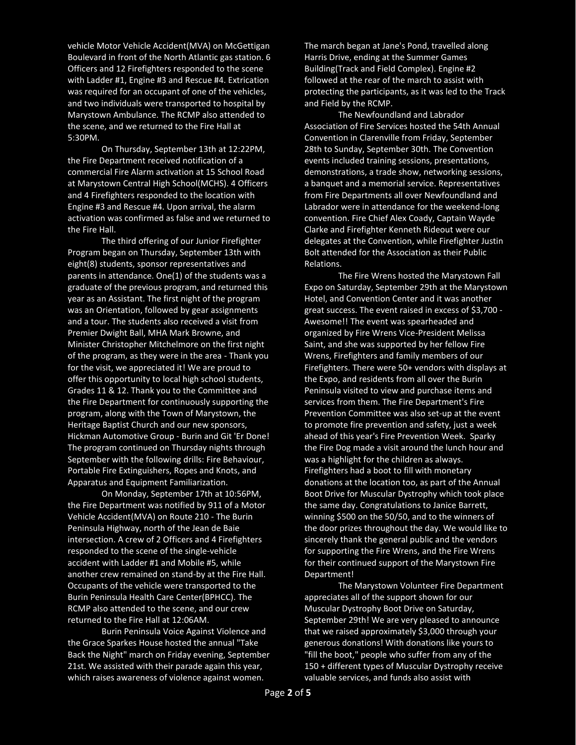vehicle Motor Vehicle Accident(MVA) on McGettigan Boulevard in front of the North Atlantic gas station. 6 Officers and 12 Firefighters responded to the scene with Ladder #1, Engine #3 and Rescue #4. Extrication was required for an occupant of one of the vehicles, and two individuals were transported to hospital by Marystown Ambulance. The RCMP also attended to the scene, and we returned to the Fire Hall at 5:30PM.

On Thursday, September 13th at 12:22PM, the Fire Department received notification of a commercial Fire Alarm activation at 15 School Road at Marystown Central High School(MCHS). 4 Officers and 4 Firefighters responded to the location with Engine #3 and Rescue #4. Upon arrival, the alarm activation was confirmed as false and we returned to the Fire Hall.

The third offering of our Junior Firefighter Program began on Thursday, September 13th with eight(8) students, sponsor representatives and parents in attendance. One(1) of the students was a graduate of the previous program, and returned this year as an Assistant. The first night of the program was an Orientation, followed by gear assignments and a tour. The students also received a visit from Premier Dwight Ball, MHA Mark Browne, and Minister Christopher Mitchelmore on the first night of the program, as they were in the area - Thank you for the visit, we appreciated it! We are proud to offer this opportunity to local high school students, Grades 11 & 12. Thank you to the Committee and the Fire Department for continuously supporting the program, along with the Town of Marystown, the Heritage Baptist Church and our new sponsors, Hickman Automotive Group - Burin and Git 'Er Done! The program continued on Thursday nights through September with the following drills: Fire Behaviour, Portable Fire Extinguishers, Ropes and Knots, and Apparatus and Equipment Familiarization.

On Monday, September 17th at 10:56PM, the Fire Department was notified by 911 of a Motor Vehicle Accident(MVA) on Route 210 - The Burin Peninsula Highway, north of the Jean de Baie intersection. A crew of 2 Officers and 4 Firefighters responded to the scene of the single-vehicle accident with Ladder #1 and Mobile #5, while another crew remained on stand-by at the Fire Hall. Occupants of the vehicle were transported to the Burin Peninsula Health Care Center(BPHCC). The RCMP also attended to the scene, and our crew returned to the Fire Hall at 12:06AM.

Burin Peninsula Voice Against Violence and the Grace Sparkes House hosted the annual "Take Back the Night" march on Friday evening, September 21st. We assisted with their parade again this year, which raises awareness of violence against women.

The march began at Jane's Pond, travelled along Harris Drive, ending at the Summer Games Building(Track and Field Complex). Engine #2 followed at the rear of the march to assist with protecting the participants, as it was led to the Track and Field by the RCMP.

The Newfoundland and Labrador Association of Fire Services hosted the 54th Annual Convention in Clarenville from Friday, September 28th to Sunday, September 30th. The Convention events included training sessions, presentations, demonstrations, a trade show, networking sessions, a banquet and a memorial service. Representatives from Fire Departments all over Newfoundland and Labrador were in attendance for the weekend-long convention. Fire Chief Alex Coady, Captain Wayde Clarke and Firefighter Kenneth Rideout were our delegates at the Convention, while Firefighter Justin Bolt attended for the Association as their Public Relations.

The Fire Wrens hosted the [Marystown Fall](https://www.facebook.com/events/1459595937420152/?acontext=%7B%22source%22%3A4%2C%22action_history%22%3A%22%5B%7B%5C%22surface%5C%22%3A%5C%22group%5C%22%2C%5C%22mechanism%5C%22%3A%5C%22surface%5C%22%2C%5C%22extra_data%5C%22%3A%5B%5D%7D%5D%22%2C%22has_source%22%3Atrue%7D&source=4&action_history=%5B%7B%22surface%22%3A%22group%22%2C%22mechanism%22%3A%22surface%22%2C%22extra_data%22%3A%5B%5D%7D%5D&has_source=1&fref=gs&dti=109360349094838&hc_location=group)  [Expo](https://www.facebook.com/events/1459595937420152/?acontext=%7B%22source%22%3A4%2C%22action_history%22%3A%22%5B%7B%5C%22surface%5C%22%3A%5C%22group%5C%22%2C%5C%22mechanism%5C%22%3A%5C%22surface%5C%22%2C%5C%22extra_data%5C%22%3A%5B%5D%7D%5D%22%2C%22has_source%22%3Atrue%7D&source=4&action_history=%5B%7B%22surface%22%3A%22group%22%2C%22mechanism%22%3A%22surface%22%2C%22extra_data%22%3A%5B%5D%7D%5D&has_source=1&fref=gs&dti=109360349094838&hc_location=group) on Saturday, September 29th at the Marystown Hotel, and Convention Center and it was another great success. The event raised in excess of \$3,700 - Awesome!! The event was spearheaded and organized by Fire Wrens Vice-President Melissa Saint, and she was supported by her fellow Fire Wrens, Firefighters and family members of our Firefighters. There were 50+ vendors with displays at the Expo, and residents from all over the Burin Peninsula visited to view and purchase items and services from them. The Fire Department's Fire Prevention Committee was also set-up at the event to promote fire prevention and safety, just a week ahead of this year's Fire Prevention Week. Sparky the Fire Dog made a visit around the lunch hour and was a highlight for the children as always. Firefighters had a boot to fill with monetary donations at the location too, as part of the Annual Boot Drive for Muscular Dystrophy which took place the same day. Congratulations to Janice Barrett, winning \$500 on the 50/50, and to the winners of the door prizes throughout the day. We would like to sincerely thank the general public and the vendors for supporting the Fire Wrens, and the Fire Wrens for their continued support of the Marystown Fire Department!

The Marystown Volunteer Fire Department appreciates all of the support shown for our Muscular Dystrophy Boot Drive on Saturday, September 29th! We are very pleased to announce that we raised approximately \$3,000 through your generous donations! With donations like yours to "fill the boot," people who suffer from any of the 150 + different types of Muscular Dystrophy receive valuable services, and funds also assist with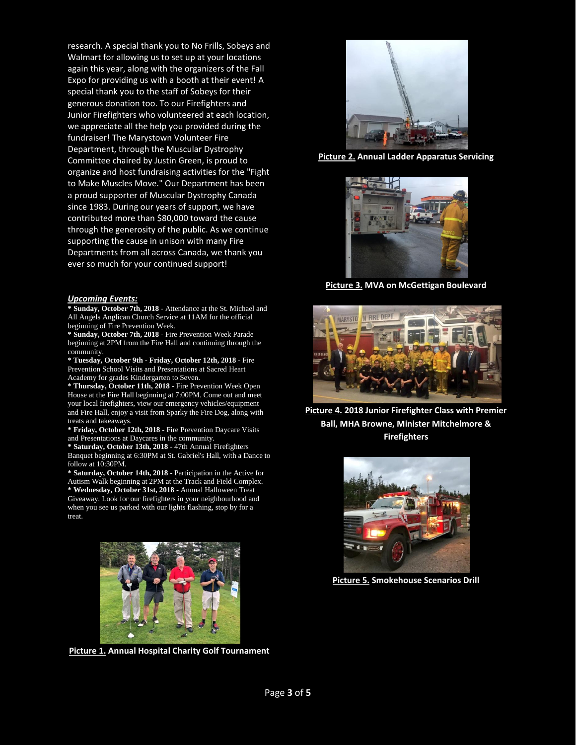research. A special thank you to No Frills, Sobeys and Walmart for allowing us to set up at your locations again this year, along with the organizers of the Fall Expo for providing us with a booth at their event! A special thank you to the staff of Sobeys for their generous donation too. To our Firefighters and Junior Firefighters who volunteered at each location, we appreciate all the help you provided during the fundraiser! The Marystown Volunteer Fire Department, through the Muscular Dystrophy Committee chaired by Justin Green, is proud to organize and host fundraising activities for the "Fight to Make Muscles Move." Our Department has been a proud supporter of Muscular Dystrophy Canada since 1983. During our years of support, we have contributed more than \$80,000 toward the cause through the generosity of the public. As we continue supporting the cause in unison with many Fire Departments from all across Canada, we thank you ever so much for your continued support!

## *Upcoming Events:*

**\* Sunday, October 7th, 2018** - Attendance at the St. Michael and All Angels Anglican Church Service at 11AM for the official beginning of Fire Prevention Week.

**\* Sunday, October 7th, 2018** - Fire Prevention Week Parade beginning at 2PM from the Fire Hall and continuing through the community.

**\* Tuesday, October 9th - Friday, October 12th, 2018** - Fire Prevention School Visits and Presentations at Sacred Heart Academy for grades Kindergarten to Seven.

**\* Thursday, October 11th, 2018** - Fire Prevention Week Open House at the Fire Hall beginning at 7:00PM. Come out and meet your local firefighters, view our emergency vehicles/equipment and Fire Hall, enjoy a visit from Sparky the Fire Dog, along with treats and takeaways.

**\* Friday, October 12th, 2018** - Fire Prevention Daycare Visits and Presentations at Daycares in the community.

**\* Saturday, October 13th, 2018** - 47th Annual Firefighters Banquet beginning at 6:30PM at St. Gabriel's Hall, with a Dance to follow at 10:30PM.

**\* Saturday, October 14th, 2018** - Participation in the Active for Autism Walk beginning at 2PM at the Track and Field Complex. **\* Wednesday, October 31st, 2018** - Annual Halloween Treat Giveaway. Look for our firefighters in your neighbourhood and when you see us parked with our lights flashing, stop by for a treat.



**Picture 1. Annual Hospital Charity Golf Tournament**



**Picture 2. Annual Ladder Apparatus Servicing**



**Picture 3. MVA on McGettigan Boulevard**



**Picture 4. 2018 Junior Firefighter Class with Premier Ball, MHA Browne, Minister Mitchelmore & Firefighters**



**Picture 5. Smokehouse Scenarios Drill**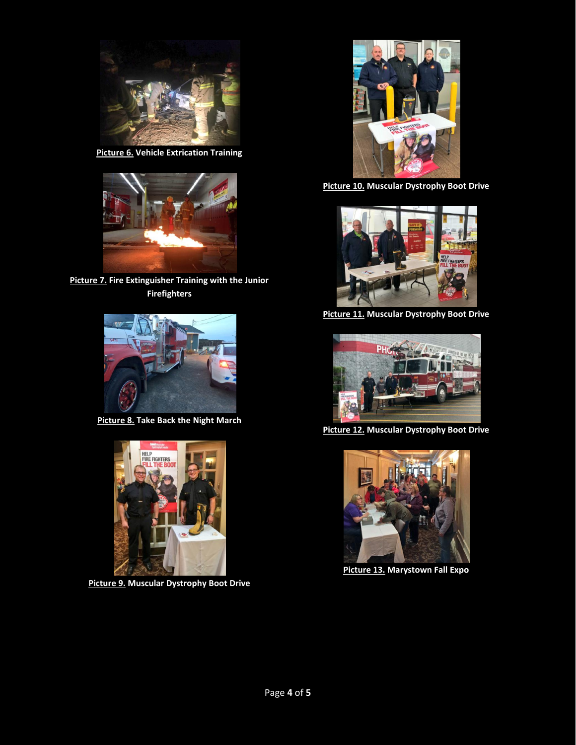

**Picture 6. Vehicle Extrication Training**



**Picture 7. Fire Extinguisher Training with the Junior Firefighters**



**Picture 8. Take Back the Night March**



**Picture 9. Muscular Dystrophy Boot Drive**



**Picture 10. Muscular Dystrophy Boot Drive**



**Picture 11. Muscular Dystrophy Boot Drive**



**Picture 12. Muscular Dystrophy Boot Drive**



**Picture 13. Marystown Fall Expo**